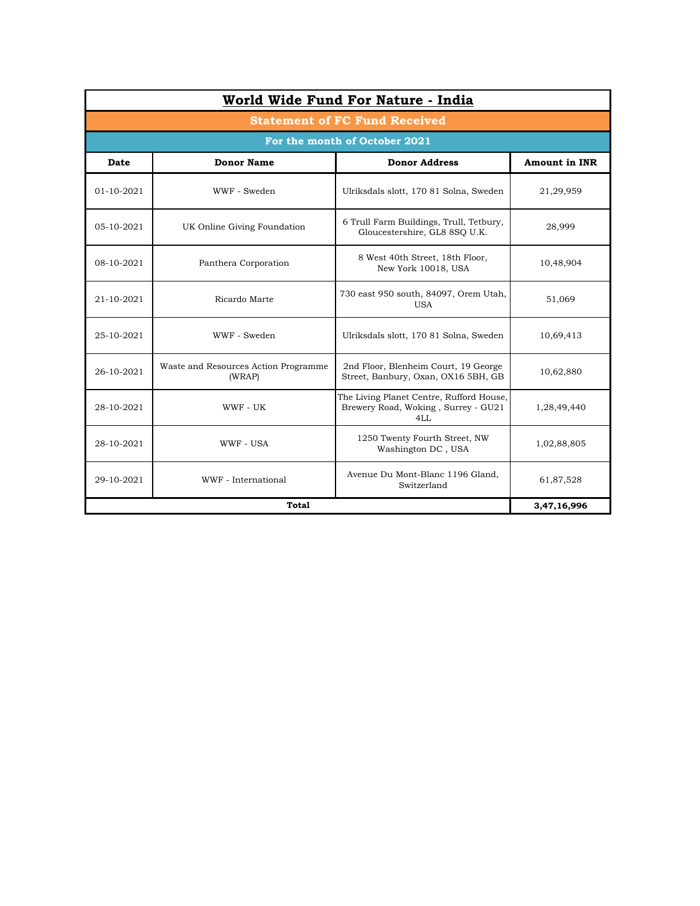| World Wide Fund For Nature - India   |                                                |                                                                                        |                      |  |  |  |  |
|--------------------------------------|------------------------------------------------|----------------------------------------------------------------------------------------|----------------------|--|--|--|--|
| <b>Statement of FC Fund Received</b> |                                                |                                                                                        |                      |  |  |  |  |
| For the month of October 2021        |                                                |                                                                                        |                      |  |  |  |  |
| Date                                 | <b>Donor Name</b>                              | <b>Donor Address</b>                                                                   | <b>Amount in INR</b> |  |  |  |  |
| 01-10-2021                           | WWF - Sweden                                   | Ulriksdals slott, 170 81 Solna, Sweden                                                 | 21,29,959            |  |  |  |  |
| 05-10-2021                           | UK Online Giving Foundation                    | 6 Trull Farm Buildings, Trull, Tetbury,<br>Gloucestershire, GL8 8SQ U.K.               | 28,999               |  |  |  |  |
| 08-10-2021                           | Panthera Corporation                           | 8 West 40th Street, 18th Floor,<br>New York 10018, USA                                 | 10,48,904            |  |  |  |  |
| 21-10-2021                           | Ricardo Marte                                  | 730 east 950 south, 84097, Orem Utah,<br><b>USA</b>                                    | 51,069               |  |  |  |  |
| 25-10-2021                           | WWF - Sweden                                   | Ulriksdals slott, 170 81 Solna, Sweden                                                 | 10,69,413            |  |  |  |  |
| 26-10-2021                           | Waste and Resources Action Programme<br>(WRAP) | 2nd Floor, Blenheim Court, 19 George<br>Street, Banbury, Oxan, OX16 5BH, GB            | 10,62,880            |  |  |  |  |
| 28-10-2021                           | WWF - UK                                       | The Living Planet Centre, Rufford House,<br>Brewery Road, Woking, Surrey - GU21<br>4LL | 1,28,49,440          |  |  |  |  |
| 28-10-2021                           | WWF - USA                                      | 1250 Twenty Fourth Street, NW<br>Washington DC, USA                                    | 1,02,88,805          |  |  |  |  |
| 29-10-2021                           | WWF - International                            | Avenue Du Mont-Blanc 1196 Gland,<br>Switzerland                                        | 61,87,528            |  |  |  |  |
|                                      | 3,47,16,996                                    |                                                                                        |                      |  |  |  |  |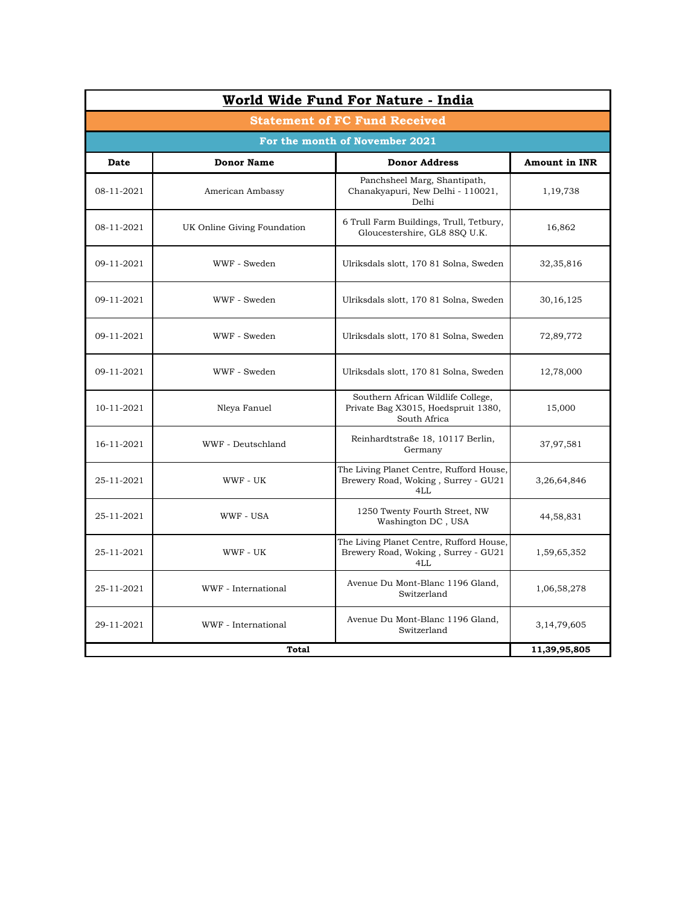| <b>Statement of FC Fund Received</b> |                             |                                                                                           |                      |  |  |  |  |
|--------------------------------------|-----------------------------|-------------------------------------------------------------------------------------------|----------------------|--|--|--|--|
| For the month of November 2021       |                             |                                                                                           |                      |  |  |  |  |
| Date                                 | <b>Donor Name</b>           | <b>Donor Address</b>                                                                      | <b>Amount in INR</b> |  |  |  |  |
| 08-11-2021                           | American Ambassy            | Panchsheel Marg, Shantipath,<br>Chanakyapuri, New Delhi - 110021,<br>Delhi                | 1,19,738             |  |  |  |  |
| 08-11-2021                           | UK Online Giving Foundation | 6 Trull Farm Buildings, Trull, Tetbury,<br>Gloucestershire, GL8 8SQ U.K.                  | 16,862               |  |  |  |  |
| 09-11-2021                           | WWF - Sweden                | Ulriksdals slott, 170 81 Solna, Sweden                                                    | 32,35,816            |  |  |  |  |
| 09-11-2021                           | WWF - Sweden                | Ulriksdals slott, 170 81 Solna, Sweden                                                    | 30, 16, 125          |  |  |  |  |
| 09-11-2021                           | WWF - Sweden                | Ulriksdals slott, 170 81 Solna, Sweden                                                    | 72,89,772            |  |  |  |  |
| 09-11-2021                           | WWF - Sweden                | Ulriksdals slott, 170 81 Solna, Sweden                                                    | 12,78,000            |  |  |  |  |
| 10-11-2021                           | Nleya Fanuel                | Southern African Wildlife College,<br>Private Bag X3015, Hoedspruit 1380,<br>South Africa | 15,000               |  |  |  |  |
| 16-11-2021                           | WWF - Deutschland           | Reinhardtstraße 18, 10117 Berlin,<br>Germany                                              | 37,97,581            |  |  |  |  |
| 25-11-2021                           | WWF - UK                    | The Living Planet Centre, Rufford House,<br>Brewery Road, Woking, Surrey - GU21<br>4LL    | 3,26,64,846          |  |  |  |  |
| 25-11-2021                           | WWF - USA                   | 1250 Twenty Fourth Street, NW<br>Washington DC, USA                                       | 44,58,831            |  |  |  |  |
| 25-11-2021                           | WWF - UK                    | The Living Planet Centre, Rufford House,<br>Brewery Road, Woking, Surrey - GU21<br>4LL    | 1,59,65,352          |  |  |  |  |
| 25-11-2021                           | WWF - International         | Avenue Du Mont-Blanc 1196 Gland.<br>Switzerland                                           | 1,06,58,278          |  |  |  |  |
| 29-11-2021                           | WWF - International         | Avenue Du Mont-Blanc 1196 Gland,<br>Switzerland                                           | 3, 14, 79, 605       |  |  |  |  |
|                                      | <b>Total</b>                |                                                                                           | 11,39,95,805         |  |  |  |  |